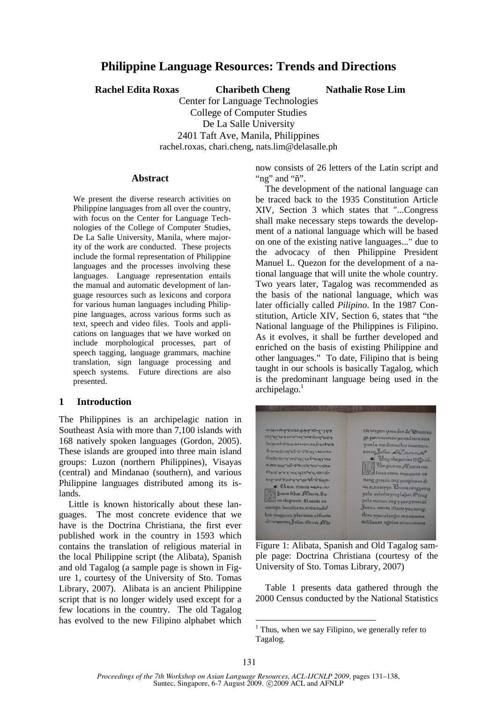# **Philippine Language Resources: Trends and Directions**

Rachel Edita Roxas Charibeth Cheng Nathalie Rose Lim

Center for Language Technologies College of Computer Studies De La Salle University 2401 Taft Ave, Manila, Philippines rachel.roxas, chari.cheng, nats.lim@delasalle.ph

#### **Abstract**

We present the diverse research activities on Philippine languages from all over the country, with focus on the Center for Language Technologies of the College of Computer Studies, De La Salle University, Manila, where majority of the work are conducted. These projects include the formal representation of Philippine languages and the processes involving these languages. Language representation entails the manual and automatic development of language resources such as lexicons and corpora for various human languages including Philippine languages, across various forms such as text, speech and video files. Tools and applications on languages that we have worked on include morphological processes, part of speech tagging, language grammars, machine translation, sign language processing and speech systems. Future directions are also presented.

#### **1 Introduction**

The Philippines is an archipelagic nation in Southeast Asia with more than 7,100 islands with 168 natively spoken languages (Gordon, 2005). These islands are grouped into three main island groups: Luzon (northern Philippines), Visayas (central) and Mindanao (southern), and various Philippine languages distributed among its islands.

Little is known historically about these languages. The most concrete evidence that we have is the Doctrina Christiana, the first ever published work in the country in 1593 which contains the translation of religious material in the local Philippine script (the Alibata), Spanish and old Tagalog (a sample page is shown in Figure 1, courtesy of the University of Sto. Tomas Library, 2007). Alibata is an ancient Philippine script that is no longer widely used except for a few locations in the country. The old Tagalog has evolved to the new Filipino alphabet which

now consists of 26 letters of the Latin script and "ng" and "ñ".

The development of the national language can be traced back to the 1935 Constitution Article XIV, Section 3 which states that "...Congress shall make necessary steps towards the development of a national language which will be based on one of the existing native languages..." due to the advocacy of then Philippine President Manuel L. Quezon for the development of a national language that will unite the whole country. Two years later, Tagalog was recommended as the basis of the national language, which was later officially called *Pilipino*. In the 1987 Constitution, Article XIV, Section 6, states that "the National language of the Philippines is Filipino. As it evolves, it shall be further developed and enriched on the basis of existing Philippine and other languages." To date, Filipino that is being taught in our schools is basically Tagalog, which is the predominant language being used in the archipelago.<sup>1</sup>



Figure 1: Alibata, Spanish and Old Tagalog sample page: Doctrina Christiana (courtesy of the University of Sto. Tomas Library, 2007)

Table 1 presents data gathered through the 2000 Census conducted by the National Statistics

 $<sup>1</sup>$  Thus, when we say Filipino, we generally refer to</sup> Tagalog.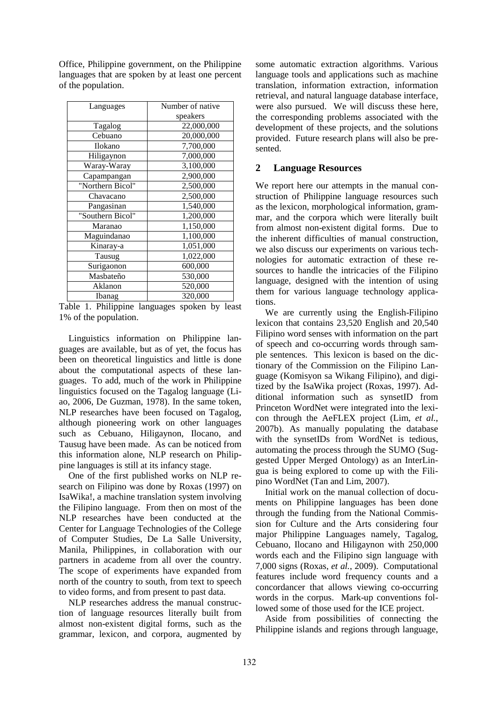Office, Philippine government, on the Philippine languages that are spoken by at least one percent of the population.

| Languages        | Number of native |
|------------------|------------------|
|                  | speakers         |
| Tagalog          | 22,000,000       |
| Cebuano          | 20,000,000       |
| Ilokano          | 7,700,000        |
| Hiligaynon       | 7,000,000        |
| Waray-Waray      | 3,100,000        |
| Capampangan      | 2,900,000        |
| "Northern Bicol" | 2,500,000        |
| Chavacano        | 2,500,000        |
| Pangasinan       | 1,540,000        |
| "Southern Bicol" | 1,200,000        |
| Maranao          | 1,150,000        |
| Maguindanao      | 1,100,000        |
| Kinaray-a        | 1,051,000        |
| Tausug           | 1,022,000        |
| Surigaonon       | 600,000          |
| Masbateño        | 530,000          |
| Aklanon          | 520,000          |
| Ibanag           | 320,000          |

Table 1. Philippine languages spoken by least 1% of the population.

Linguistics information on Philippine languages are available, but as of yet, the focus has been on theoretical linguistics and little is done about the computational aspects of these languages. To add, much of the work in Philippine linguistics focused on the Tagalog language (Liao, 2006, De Guzman, 1978). In the same token, NLP researches have been focused on Tagalog, although pioneering work on other languages such as Cebuano, Hiligaynon, Ilocano, and Tausug have been made. As can be noticed from this information alone, NLP research on Philippine languages is still at its infancy stage.

One of the first published works on NLP research on Filipino was done by Roxas (1997) on IsaWika!, a machine translation system involving the Filipino language. From then on most of the NLP researches have been conducted at the Center for Language Technologies of the College of Computer Studies, De La Salle University, Manila, Philippines, in collaboration with our partners in academe from all over the country. The scope of experiments have expanded from north of the country to south, from text to speech to video forms, and from present to past data.

NLP researches address the manual construction of language resources literally built from almost non-existent digital forms, such as the grammar, lexicon, and corpora, augmented by some automatic extraction algorithms. Various language tools and applications such as machine translation, information extraction, information retrieval, and natural language database interface, were also pursued. We will discuss these here, the corresponding problems associated with the development of these projects, and the solutions provided. Future research plans will also be presented.

## **2 Language Resources**

We report here our attempts in the manual construction of Philippine language resources such as the lexicon, morphological information, grammar, and the corpora which were literally built from almost non-existent digital forms. Due to the inherent difficulties of manual construction, we also discuss our experiments on various technologies for automatic extraction of these resources to handle the intricacies of the Filipino language, designed with the intention of using them for various language technology applications.

We are currently using the English-Filipino lexicon that contains 23,520 English and 20,540 Filipino word senses with information on the part of speech and co-occurring words through sample sentences. This lexicon is based on the dictionary of the Commission on the Filipino Language (Komisyon sa Wikang Filipino), and digitized by the IsaWika project (Roxas, 1997). Additional information such as synsetID from Princeton WordNet were integrated into the lexicon through the AeFLEX project (Lim, *et al.*, 2007b). As manually populating the database with the synsetIDs from WordNet is tedious, automating the process through the SUMO (Suggested Upper Merged Ontology) as an InterLingua is being explored to come up with the Filipino WordNet (Tan and Lim, 2007).

Initial work on the manual collection of documents on Philippine languages has been done through the funding from the National Commission for Culture and the Arts considering four major Philippine Languages namely, Tagalog, Cebuano, Ilocano and Hiligaynon with 250,000 words each and the Filipino sign language with 7,000 signs (Roxas, *et al.*, 2009). Computational features include word frequency counts and a concordancer that allows viewing co-occurring words in the corpus. Mark-up conventions followed some of those used for the ICE project.

Aside from possibilities of connecting the Philippine islands and regions through language,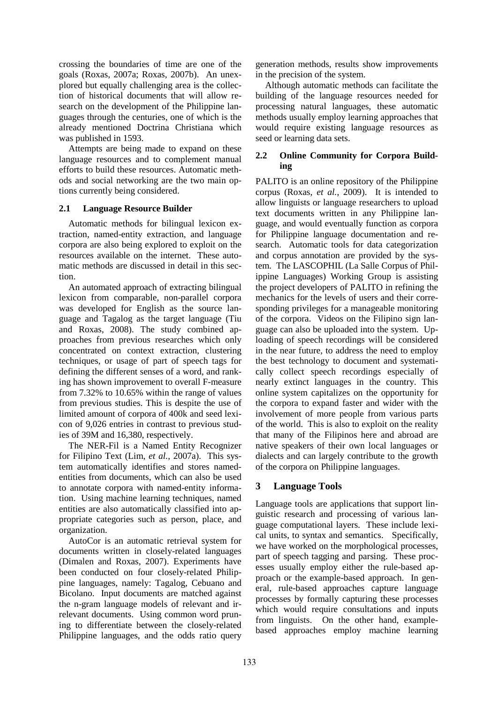crossing the boundaries of time are one of the goals (Roxas, 2007a; Roxas, 2007b). An unexplored but equally challenging area is the collection of historical documents that will allow research on the development of the Philippine languages through the centuries, one of which is the already mentioned Doctrina Christiana which was published in 1593.

Attempts are being made to expand on these language resources and to complement manual efforts to build these resources. Automatic methods and social networking are the two main options currently being considered.

#### **2.1 Language Resource Builder**

Automatic methods for bilingual lexicon extraction, named-entity extraction, and language corpora are also being explored to exploit on the resources available on the internet. These automatic methods are discussed in detail in this section.

An automated approach of extracting bilingual lexicon from comparable, non-parallel corpora was developed for English as the source language and Tagalog as the target language (Tiu and Roxas, 2008). The study combined approaches from previous researches which only concentrated on context extraction, clustering techniques, or usage of part of speech tags for defining the different senses of a word, and ranking has shown improvement to overall F-measure from 7.32% to 10.65% within the range of values from previous studies. This is despite the use of limited amount of corpora of 400k and seed lexicon of 9,026 entries in contrast to previous studies of 39M and 16,380, respectively.

The NER-Fil is a Named Entity Recognizer for Filipino Text (Lim, *et al.*, 2007a). This system automatically identifies and stores namedentities from documents, which can also be used to annotate corpora with named-entity information. Using machine learning techniques, named entities are also automatically classified into appropriate categories such as person, place, and organization.

AutoCor is an automatic retrieval system for documents written in closely-related languages (Dimalen and Roxas, 2007). Experiments have been conducted on four closely-related Philippine languages, namely: Tagalog, Cebuano and Bicolano. Input documents are matched against the n-gram language models of relevant and irrelevant documents. Using common word pruning to differentiate between the closely-related Philippine languages, and the odds ratio query

generation methods, results show improvements in the precision of the system.

Although automatic methods can facilitate the building of the language resources needed for processing natural languages, these automatic methods usually employ learning approaches that would require existing language resources as seed or learning data sets.

#### **2.2 Online Community for Corpora Building**

PALITO is an online repository of the Philippine corpus (Roxas, *et al.*, 2009). It is intended to allow linguists or language researchers to upload text documents written in any Philippine language, and would eventually function as corpora for Philippine language documentation and research. Automatic tools for data categorization and corpus annotation are provided by the system. The LASCOPHIL (La Salle Corpus of Philippine Languages) Working Group is assisting the project developers of PALITO in refining the mechanics for the levels of users and their corresponding privileges for a manageable monitoring of the corpora. Videos on the Filipino sign language can also be uploaded into the system. Uploading of speech recordings will be considered in the near future, to address the need to employ the best technology to document and systematically collect speech recordings especially of nearly extinct languages in the country. This online system capitalizes on the opportunity for the corpora to expand faster and wider with the involvement of more people from various parts of the world. This is also to exploit on the reality that many of the Filipinos here and abroad are native speakers of their own local languages or dialects and can largely contribute to the growth of the corpora on Philippine languages.

# **3 Language Tools**

Language tools are applications that support linguistic research and processing of various language computational layers. These include lexical units, to syntax and semantics. Specifically, we have worked on the morphological processes, part of speech tagging and parsing. These processes usually employ either the rule-based approach or the example-based approach. In general, rule-based approaches capture language processes by formally capturing these processes which would require consultations and inputs from linguists. On the other hand, examplebased approaches employ machine learning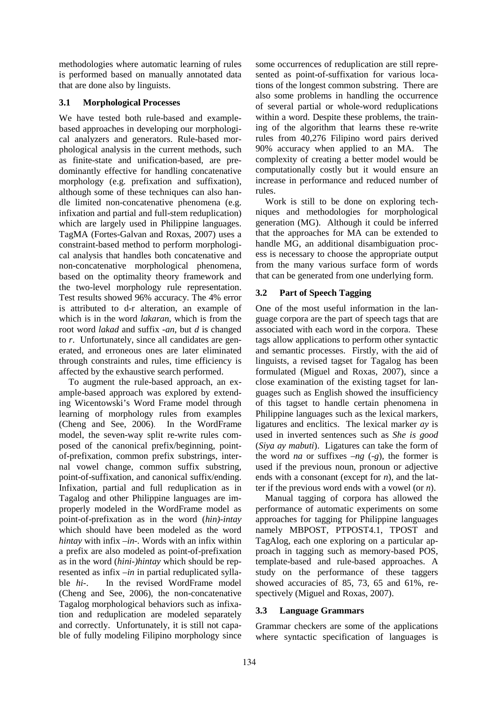methodologies where automatic learning of rules is performed based on manually annotated data that are done also by linguists.

## **3.1 Morphological Processes**

We have tested both rule-based and examplebased approaches in developing our morphological analyzers and generators. Rule-based morphological analysis in the current methods, such as finite-state and unification-based, are predominantly effective for handling concatenative morphology (e.g. prefixation and suffixation), although some of these techniques can also handle limited non-concatenative phenomena (e.g. infixation and partial and full-stem reduplication) which are largely used in Philippine languages. TagMA (Fortes-Galvan and Roxas, 2007) uses a constraint-based method to perform morphological analysis that handles both concatenative and non-concatenative morphological phenomena, based on the optimality theory framework and the two-level morphology rule representation. Test results showed 96% accuracy. The 4% error is attributed to d-r alteration, an example of which is in the word *lakaran*, which is from the root word *lakad* and suffix *-an*, but *d* is changed to *r*. Unfortunately, since all candidates are generated, and erroneous ones are later eliminated through constraints and rules, time efficiency is affected by the exhaustive search performed.

To augment the rule-based approach, an example-based approach was explored by extending Wicentowski's Word Frame model through learning of morphology rules from examples (Cheng and See, 2006). In the WordFrame model, the seven-way split re-write rules composed of the canonical prefix/beginning, pointof-prefixation, common prefix substrings, internal vowel change, common suffix substring, point-of-suffixation, and canonical suffix/ending. Infixation, partial and full reduplication as in Tagalog and other Philippine languages are improperly modeled in the WordFrame model as point-of-prefixation as in the word (*hin)-intay*  which should have been modeled as the word *hintay* with infix *–in-.* Words with an infix within a prefix are also modeled as point-of-prefixation as in the word (*hini-)hintay* which should be represented as infix –*in* in partial reduplicated syllable *hi-*. In the revised WordFrame model (Cheng and See, 2006), the non-concatenative Tagalog morphological behaviors such as infixation and reduplication are modeled separately and correctly. Unfortunately, it is still not capable of fully modeling Filipino morphology since some occurrences of reduplication are still represented as point-of-suffixation for various locations of the longest common substring. There are also some problems in handling the occurrence of several partial or whole-word reduplications within a word. Despite these problems, the training of the algorithm that learns these re-write rules from 40,276 Filipino word pairs derived 90% accuracy when applied to an MA. The complexity of creating a better model would be computationally costly but it would ensure an increase in performance and reduced number of rules.

Work is still to be done on exploring techniques and methodologies for morphological generation (MG). Although it could be inferred that the approaches for MA can be extended to handle MG, an additional disambiguation process is necessary to choose the appropriate output from the many various surface form of words that can be generated from one underlying form.

## **3.2 Part of Speech Tagging**

One of the most useful information in the language corpora are the part of speech tags that are associated with each word in the corpora. These tags allow applications to perform other syntactic and semantic processes. Firstly, with the aid of linguists, a revised tagset for Tagalog has been formulated (Miguel and Roxas, 2007), since a close examination of the existing tagset for languages such as English showed the insufficiency of this tagset to handle certain phenomena in Philippine languages such as the lexical markers, ligatures and enclitics. The lexical marker *ay* is used in inverted sentences such as *She is good* (*Siya ay mabuti*). Ligatures can take the form of the word *na* or suffixes  $-ng(-g)$ , the former is used if the previous noun, pronoun or adjective ends with a consonant (except for *n*), and the latter if the previous word ends with a vowel (or *n*).

Manual tagging of corpora has allowed the performance of automatic experiments on some approaches for tagging for Philippine languages namely MBPOST, PTPOST4.1, TPOST and TagAlog, each one exploring on a particular approach in tagging such as memory-based POS, template-based and rule-based approaches. A study on the performance of these taggers showed accuracies of 85, 73, 65 and 61%, respectively (Miguel and Roxas, 2007).

## **3.3 Language Grammars**

Grammar checkers are some of the applications where syntactic specification of languages is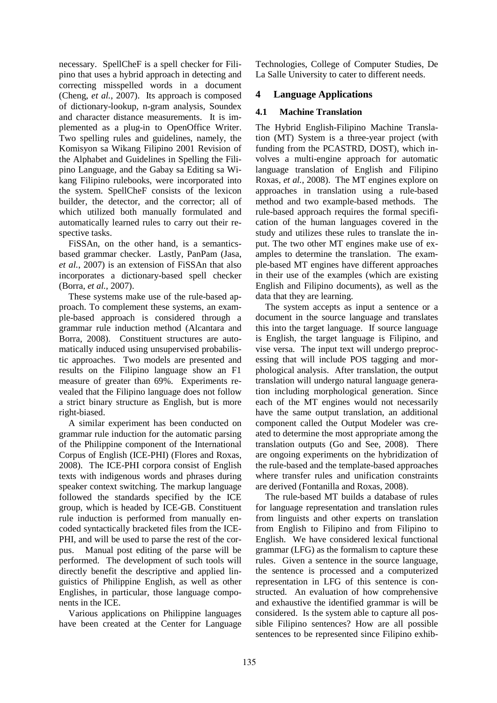necessary. SpellCheF is a spell checker for Filipino that uses a hybrid approach in detecting and correcting misspelled words in a document (Cheng, *et al.*, 2007). Its approach is composed of dictionary-lookup, n-gram analysis, Soundex and character distance measurements. It is implemented as a plug-in to OpenOffice Writer. Two spelling rules and guidelines, namely, the Komisyon sa Wikang Filipino 2001 Revision of the Alphabet and Guidelines in Spelling the Filipino Language, and the Gabay sa Editing sa Wikang Filipino rulebooks, were incorporated into the system. SpellCheF consists of the lexicon builder, the detector, and the corrector; all of which utilized both manually formulated and automatically learned rules to carry out their respective tasks.

FiSSAn, on the other hand, is a semanticsbased grammar checker. Lastly, PanPam (Jasa, *et al.*, 2007) is an extension of FiSSAn that also incorporates a dictionary-based spell checker (Borra, *et al.,* 2007).

These systems make use of the rule-based approach. To complement these systems, an example-based approach is considered through a grammar rule induction method (Alcantara and Borra, 2008). Constituent structures are automatically induced using unsupervised probabilistic approaches. Two models are presented and results on the Filipino language show an F1 measure of greater than 69%. Experiments revealed that the Filipino language does not follow a strict binary structure as English, but is more right-biased.

A similar experiment has been conducted on grammar rule induction for the automatic parsing of the Philippine component of the International Corpus of English (ICE-PHI) (Flores and Roxas, 2008). The ICE-PHI corpora consist of English texts with indigenous words and phrases during speaker context switching. The markup language followed the standards specified by the ICE group, which is headed by ICE-GB. Constituent rule induction is performed from manually encoded syntactically bracketed files from the ICE-PHI, and will be used to parse the rest of the corpus. Manual post editing of the parse will be performed. The development of such tools will directly benefit the descriptive and applied linguistics of Philippine English, as well as other Englishes, in particular, those language components in the ICE.

Various applications on Philippine languages have been created at the Center for Language Technologies, College of Computer Studies, De La Salle University to cater to different needs.

# **4 Language Applications**

### **4.1 Machine Translation**

The Hybrid English-Filipino Machine Translation (MT) System is a three-year project (with funding from the PCASTRD, DOST), which involves a multi-engine approach for automatic language translation of English and Filipino Roxas, *et al.*, 2008). The MT engines explore on approaches in translation using a rule-based method and two example-based methods. The rule-based approach requires the formal specification of the human languages covered in the study and utilizes these rules to translate the input. The two other MT engines make use of examples to determine the translation. The example-based MT engines have different approaches in their use of the examples (which are existing English and Filipino documents), as well as the data that they are learning.

The system accepts as input a sentence or a document in the source language and translates this into the target language. If source language is English, the target language is Filipino, and vise versa. The input text will undergo preprocessing that will include POS tagging and morphological analysis. After translation, the output translation will undergo natural language generation including morphological generation. Since each of the MT engines would not necessarily have the same output translation, an additional component called the Output Modeler was created to determine the most appropriate among the translation outputs (Go and See, 2008). There are ongoing experiments on the hybridization of the rule-based and the template-based approaches where transfer rules and unification constraints are derived (Fontanilla and Roxas, 2008).

The rule-based MT builds a database of rules for language representation and translation rules from linguists and other experts on translation from English to Filipino and from Filipino to English. We have considered lexical functional grammar (LFG) as the formalism to capture these rules. Given a sentence in the source language, the sentence is processed and a computerized representation in LFG of this sentence is constructed. An evaluation of how comprehensive and exhaustive the identified grammar is will be considered. Is the system able to capture all possible Filipino sentences? How are all possible sentences to be represented since Filipino exhib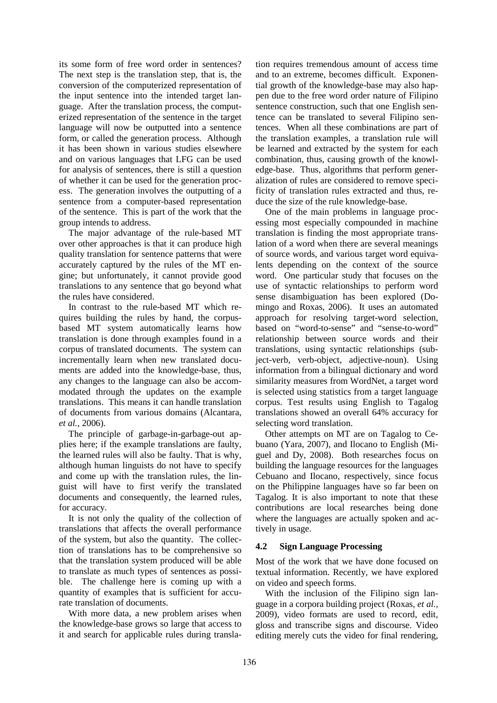its some form of free word order in sentences? The next step is the translation step, that is, the conversion of the computerized representation of the input sentence into the intended target language. After the translation process, the computerized representation of the sentence in the target language will now be outputted into a sentence form, or called the generation process. Although it has been shown in various studies elsewhere and on various languages that LFG can be used for analysis of sentences, there is still a question of whether it can be used for the generation process. The generation involves the outputting of a sentence from a computer-based representation of the sentence. This is part of the work that the group intends to address.

The major advantage of the rule-based MT over other approaches is that it can produce high quality translation for sentence patterns that were accurately captured by the rules of the MT engine; but unfortunately, it cannot provide good translations to any sentence that go beyond what the rules have considered.

In contrast to the rule-based MT which requires building the rules by hand, the corpusbased MT system automatically learns how translation is done through examples found in a corpus of translated documents. The system can incrementally learn when new translated documents are added into the knowledge-base, thus, any changes to the language can also be accommodated through the updates on the example translations. This means it can handle translation of documents from various domains (Alcantara, *et al.*, 2006).

The principle of garbage-in-garbage-out applies here; if the example translations are faulty, the learned rules will also be faulty. That is why, although human linguists do not have to specify and come up with the translation rules, the linguist will have to first verify the translated documents and consequently, the learned rules, for accuracy.

It is not only the quality of the collection of translations that affects the overall performance of the system, but also the quantity. The collection of translations has to be comprehensive so that the translation system produced will be able to translate as much types of sentences as possible. The challenge here is coming up with a quantity of examples that is sufficient for accurate translation of documents.

With more data, a new problem arises when the knowledge-base grows so large that access to it and search for applicable rules during translation requires tremendous amount of access time and to an extreme, becomes difficult. Exponential growth of the knowledge-base may also happen due to the free word order nature of Filipino sentence construction, such that one English sentence can be translated to several Filipino sentences. When all these combinations are part of the translation examples, a translation rule will be learned and extracted by the system for each combination, thus, causing growth of the knowledge-base. Thus, algorithms that perform generalization of rules are considered to remove specificity of translation rules extracted and thus, reduce the size of the rule knowledge-base.

One of the main problems in language processing most especially compounded in machine translation is finding the most appropriate translation of a word when there are several meanings of source words, and various target word equivalents depending on the context of the source word. One particular study that focuses on the use of syntactic relationships to perform word sense disambiguation has been explored (Domingo and Roxas, 2006). It uses an automated approach for resolving target-word selection, based on "word-to-sense" and "sense-to-word" relationship between source words and their translations, using syntactic relationships (subject-verb, verb-object, adjective-noun). Using information from a bilingual dictionary and word similarity measures from WordNet, a target word is selected using statistics from a target language corpus. Test results using English to Tagalog translations showed an overall 64% accuracy for selecting word translation.

Other attempts on MT are on Tagalog to Cebuano (Yara, 2007), and Ilocano to English (Miguel and Dy, 2008). Both researches focus on building the language resources for the languages Cebuano and Ilocano, respectively, since focus on the Philippine languages have so far been on Tagalog. It is also important to note that these contributions are local researches being done where the languages are actually spoken and actively in usage.

#### **4.2 Sign Language Processing**

Most of the work that we have done focused on textual information. Recently, we have explored on video and speech forms.

With the inclusion of the Filipino sign language in a corpora building project (Roxas, *et al.,* 2009), video formats are used to record, edit, gloss and transcribe signs and discourse. Video editing merely cuts the video for final rendering,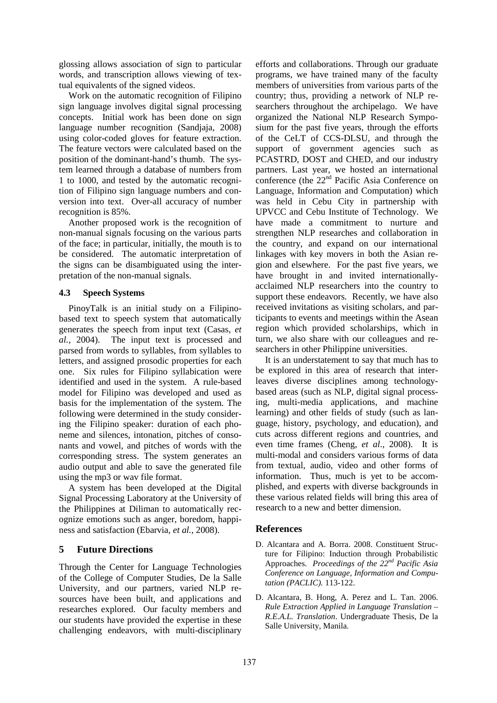glossing allows association of sign to particular words, and transcription allows viewing of textual equivalents of the signed videos.

Work on the automatic recognition of Filipino sign language involves digital signal processing concepts. Initial work has been done on sign language number recognition (Sandjaja, 2008) using color-coded gloves for feature extraction. The feature vectors were calculated based on the position of the dominant-hand's thumb. The system learned through a database of numbers from 1 to 1000, and tested by the automatic recognition of Filipino sign language numbers and conversion into text. Over-all accuracy of number recognition is 85%.

Another proposed work is the recognition of non-manual signals focusing on the various parts of the face; in particular, initially, the mouth is to be considered. The automatic interpretation of the signs can be disambiguated using the interpretation of the non-manual signals.

#### **4.3 Speech Systems**

PinoyTalk is an initial study on a Filipinobased text to speech system that automatically generates the speech from input text (Casas, *et al.,* 2004). The input text is processed and parsed from words to syllables, from syllables to letters, and assigned prosodic properties for each one. Six rules for Filipino syllabication were identified and used in the system. A rule-based model for Filipino was developed and used as basis for the implementation of the system. The following were determined in the study considering the Filipino speaker: duration of each phoneme and silences, intonation, pitches of consonants and vowel, and pitches of words with the corresponding stress. The system generates an audio output and able to save the generated file using the mp3 or wav file format.

A system has been developed at the Digital Signal Processing Laboratory at the University of the Philippines at Diliman to automatically recognize emotions such as anger, boredom, happiness and satisfaction (Ebarvia, *et al.*, 2008).

## **5 Future Directions**

Through the Center for Language Technologies of the College of Computer Studies, De la Salle University, and our partners, varied NLP resources have been built, and applications and researches explored. Our faculty members and our students have provided the expertise in these challenging endeavors, with multi-disciplinary efforts and collaborations. Through our graduate programs, we have trained many of the faculty members of universities from various parts of the country; thus, providing a network of NLP researchers throughout the archipelago. We have organized the National NLP Research Symposium for the past five years, through the efforts of the CeLT of CCS-DLSU, and through the support of government agencies such as PCASTRD, DOST and CHED, and our industry partners. Last year, we hosted an international conference (the  $22<sup>nd</sup>$  Pacific Asia Conference on Language, Information and Computation) which was held in Cebu City in partnership with UPVCC and Cebu Institute of Technology. We have made a commitment to nurture and strengthen NLP researches and collaboration in the country, and expand on our international linkages with key movers in both the Asian region and elsewhere. For the past five years, we have brought in and invited internationallyacclaimed NLP researchers into the country to support these endeavors. Recently, we have also received invitations as visiting scholars, and participants to events and meetings within the Asean region which provided scholarships, which in turn, we also share with our colleagues and researchers in other Philippine universities.

It is an understatement to say that much has to be explored in this area of research that interleaves diverse disciplines among technologybased areas (such as NLP, digital signal processing, multi-media applications, and machine learning) and other fields of study (such as language, history, psychology, and education), and cuts across different regions and countries, and even time frames (Cheng, *et al*., 2008). It is multi-modal and considers various forms of data from textual, audio, video and other forms of information. Thus, much is yet to be accomplished, and experts with diverse backgrounds in these various related fields will bring this area of research to a new and better dimension.

## **References**

- D. Alcantara and A. Borra. 2008. Constituent Structure for Filipino: Induction through Probabilistic Approaches. *Proceedings of the 22nd Pacific Asia Conference on Language, Information and Computation (PACLIC).* 113-122.
- D. Alcantara, B. Hong, A. Perez and L. Tan. 2006. *Rule Extraction Applied in Language Translation – R.E.A.L. Translation*. Undergraduate Thesis, De la Salle University, Manila.